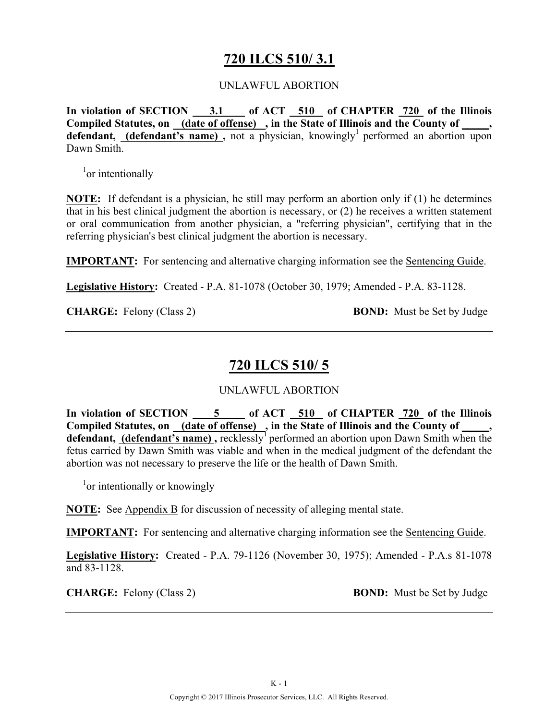# **720 ILCS 510/ 3.1**

### UNLAWFUL ABORTION

**In violation of SECTION 3.1 of ACT 510 of CHAPTER 720 of the Illinois Compiled Statutes, on (date of offense) , in the State of Illinois and the County of \_\_\_\_\_, defendant, (defendant's name)**, not a physician, knowingly<sup>1</sup> performed an abortion upon Dawn Smith.

<sup>1</sup><sub>or</sub> intentionally

**NOTE:** If defendant is a physician, he still may perform an abortion only if (1) he determines that in his best clinical judgment the abortion is necessary, or (2) he receives a written statement or oral communication from another physician, a "referring physician", certifying that in the referring physician's best clinical judgment the abortion is necessary.

**IMPORTANT:** For sentencing and alternative charging information see the Sentencing Guide.

**Legislative History:** Created - P.A. 81-1078 (October 30, 1979; Amended - P.A. 83-1128.

**CHARGE:** Felony (Class 2) **BOND:** Must be Set by Judge

# **720 ILCS 510/ 5**

## UNLAWFUL ABORTION

**In violation of SECTION 5 of ACT 510 of CHAPTER 720 of the Illinois Compiled Statutes, on (date of offense) , in the State of Illinois and the County of \_\_\_\_\_, defendant, (defendant's name)**, recklessly<sup>1</sup> performed an abortion upon Dawn Smith when the fetus carried by Dawn Smith was viable and when in the medical judgment of the defendant the abortion was not necessary to preserve the life or the health of Dawn Smith.

<sup>1</sup>or intentionally or knowingly

**NOTE:** See Appendix B for discussion of necessity of alleging mental state.

**IMPORTANT:** For sentencing and alternative charging information see the Sentencing Guide.

**Legislative History:** Created - P.A. 79-1126 (November 30, 1975); Amended - P.A.s 81-1078 and 83-1128.

**CHARGE:** Felony (Class 2) **BOND:** Must be Set by Judge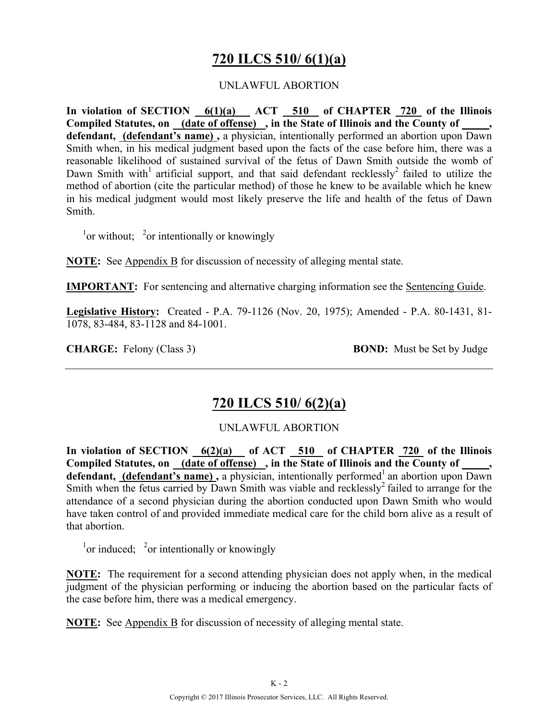# **720 ILCS 510/ 6(1)(a)**

## UNLAWFUL ABORTION

**In violation of SECTION 6(1)(a) ACT 510 of CHAPTER 720 of the Illinois Compiled Statutes, on (date of offense) , in the State of Illinois and the County of \_\_\_\_\_, defendant, (defendant's name) ,** a physician, intentionally performed an abortion upon Dawn Smith when, in his medical judgment based upon the facts of the case before him, there was a reasonable likelihood of sustained survival of the fetus of Dawn Smith outside the womb of Dawn Smith with<sup>1</sup> artificial support, and that said defendant recklessly<sup>2</sup> failed to utilize the method of abortion (cite the particular method) of those he knew to be available which he knew in his medical judgment would most likely preserve the life and health of the fetus of Dawn Smith.

 $\frac{1}{2}$ or without;  $\frac{2}{3}$ or intentionally or knowingly

**NOTE:** See Appendix B for discussion of necessity of alleging mental state.

**IMPORTANT:** For sentencing and alternative charging information see the Sentencing Guide.

**Legislative History:** Created - P.A. 79-1126 (Nov. 20, 1975); Amended - P.A. 80-1431, 81- 1078, 83-484, 83-1128 and 84-1001.

**CHARGE:** Felony (Class 3) **BOND:** Must be Set by Judge

# **720 ILCS 510/ 6(2)(a)**

## UNLAWFUL ABORTION

In violation of SECTION 6(2)(a) of ACT 510 of CHAPTER 720 of the Illinois Compiled Statutes, on (date of offense), in the State of Illinois and the County of \_\_\_\_, **defendant, (defendant's name),** a physician, intentionally performed<sup>1</sup> an abortion upon Dawn Smith when the fetus carried by Dawn Smith was viable and recklessly<sup>2</sup> failed to arrange for the attendance of a second physician during the abortion conducted upon Dawn Smith who would have taken control of and provided immediate medical care for the child born alive as a result of that abortion.

 $\frac{1}{2}$ or intentionally or knowingly

**NOTE:** The requirement for a second attending physician does not apply when, in the medical judgment of the physician performing or inducing the abortion based on the particular facts of the case before him, there was a medical emergency.

**NOTE:** See Appendix B for discussion of necessity of alleging mental state.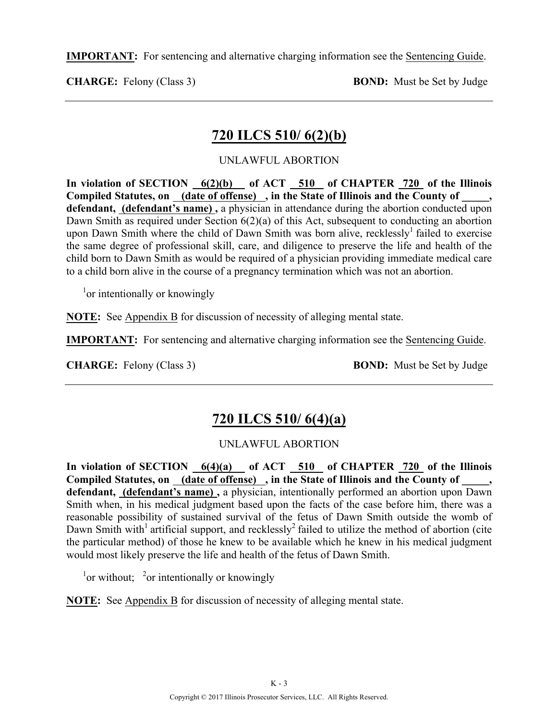**IMPORTANT:** For sentencing and alternative charging information see the Sentencing Guide.

**CHARGE:** Felony (Class 3) **BOND:** Must be Set by Judge

# **720 ILCS 510/ 6(2)(b)**

## UNLAWFUL ABORTION

**In violation of SECTION 6(2)(b) of ACT 510 of CHAPTER 720 of the Illinois Compiled Statutes, on (date of offense) , in the State of Illinois and the County of \_\_\_\_\_, defendant, (defendant's name) ,** a physician in attendance during the abortion conducted upon Dawn Smith as required under Section 6(2)(a) of this Act, subsequent to conducting an abortion upon Dawn Smith where the child of Dawn Smith was born alive, recklessly<sup>1</sup> failed to exercise the same degree of professional skill, care, and diligence to preserve the life and health of the child born to Dawn Smith as would be required of a physician providing immediate medical care to a child born alive in the course of a pregnancy termination which was not an abortion.

<sup>1</sup>or intentionally or knowingly

**NOTE:** See Appendix B for discussion of necessity of alleging mental state.

**IMPORTANT:** For sentencing and alternative charging information see the Sentencing Guide.

**CHARGE:** Felony (Class 3) **BOND:** Must be Set by Judge

# **720 ILCS 510/ 6(4)(a)**

## UNLAWFUL ABORTION

**In violation of SECTION 6(4)(a) of ACT 510 of CHAPTER 720 of the Illinois**  Compiled Statutes, on (date of offense), in the State of Illinois and the County of \_\_\_\_, defendant, (defendant's name), a physician, intentionally performed an abortion upon Dawn Smith when, in his medical judgment based upon the facts of the case before him, there was a reasonable possibility of sustained survival of the fetus of Dawn Smith outside the womb of Dawn Smith with<sup>1</sup> artificial support, and recklessly<sup>2</sup> failed to utilize the method of abortion (cite the particular method) of those he knew to be available which he knew in his medical judgment would most likely preserve the life and health of the fetus of Dawn Smith.

 $\frac{1}{2}$ or without;  $\frac{2}{3}$ or intentionally or knowingly

**NOTE:** See Appendix B for discussion of necessity of alleging mental state.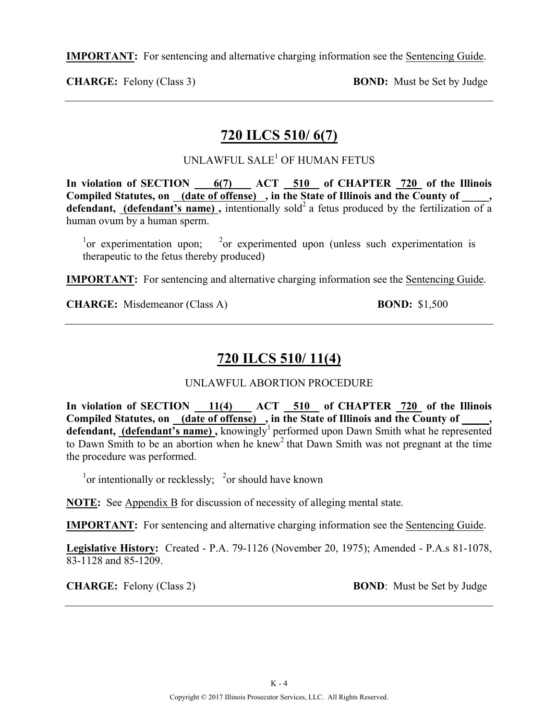**IMPORTANT:** For sentencing and alternative charging information see the Sentencing Guide.

**CHARGE:** Felony (Class 3) **BOND:** Must be Set by Judge

## **720 ILCS 510/ 6(7)**

## UNLAWFUL SALE<sup>1</sup> OF HUMAN FETUS

**In violation of SECTION 6(7) ACT 510 of CHAPTER 720 of the Illinois**  Compiled Statutes, on (date of offense), in the State of Illinois and the County of, **defendant, (defendant's name)**, intentionally sold<sup>2</sup> a fetus produced by the fertilization of a human ovum by a human sperm.

 $\frac{1}{2}$  or experimentation upon;  $\frac{2}{2}$  $\alpha$ <sup>2</sup> or experimented upon (unless such experimentation is therapeutic to the fetus thereby produced)

**IMPORTANT:** For sentencing and alternative charging information see the Sentencing Guide.

**CHARGE:** Misdemeanor (Class A) **BOND:** \$1,500

# **720 ILCS 510/ 11(4)**

## UNLAWFUL ABORTION PROCEDURE

In violation of SECTION 11(4) ACT 510 of CHAPTER 720 of the Illinois Compiled Statutes, on <u>(date of offense)</u>, in the State of Illinois and the County of \_\_\_\_, defendant, (defendant's name), knowingly<sup>1</sup> performed upon Dawn Smith what he represented to Dawn Smith to be an abortion when he knew<sup>2</sup> that Dawn Smith was not pregnant at the time the procedure was performed.

 $\frac{1}{1}$ or intentionally or recklessly;  $\frac{2}{1}$ or should have known

**NOTE:** See Appendix B for discussion of necessity of alleging mental state.

**IMPORTANT:** For sentencing and alternative charging information see the Sentencing Guide.

**Legislative History:** Created - P.A. 79-1126 (November 20, 1975); Amended - P.A.s 81-1078, 83-1128 and 85-1209.

**CHARGE:** Felony (Class 2) **BOND**: Must be Set by Judge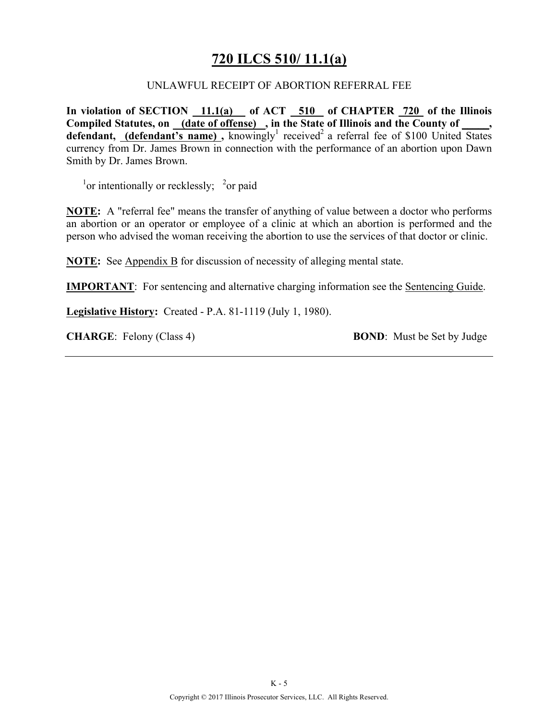# **720 ILCS 510/ 11.1(a)**

#### UNLAWFUL RECEIPT OF ABORTION REFERRAL FEE

**In violation of SECTION 11.1(a) of ACT 510 of CHAPTER 720 of the Illinois Compiled Statutes, on (date of offense) , in the State of Illinois and the County of \_\_\_\_\_, defendant, (defendant's name)**, knowingly<sup>1</sup> received<sup>2</sup> a referral fee of \$100 United States currency from Dr. James Brown in connection with the performance of an abortion upon Dawn Smith by Dr. James Brown.

 $\frac{1}{2}$  or intentionally or recklessly;  $\frac{2}{2}$  or paid

**NOTE:** A "referral fee" means the transfer of anything of value between a doctor who performs an abortion or an operator or employee of a clinic at which an abortion is performed and the person who advised the woman receiving the abortion to use the services of that doctor or clinic.

**NOTE:** See Appendix B for discussion of necessity of alleging mental state.

**IMPORTANT**: For sentencing and alternative charging information see the Sentencing Guide.

**Legislative History:** Created - P.A. 81-1119 (July 1, 1980).

**CHARGE**: Felony (Class 4) **BOND**: Must be Set by Judge